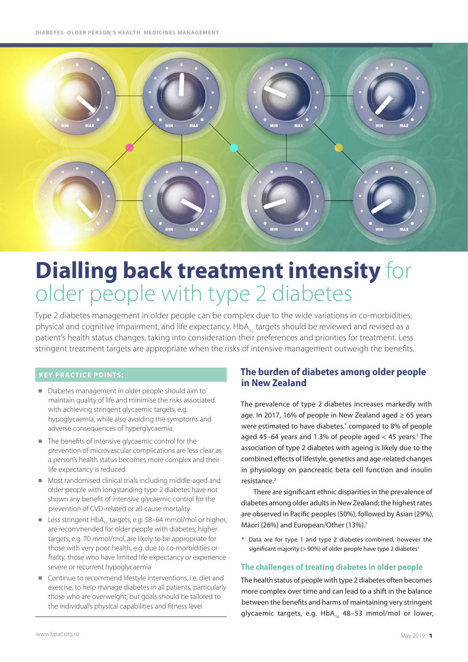

# **Dialling back treatment intensity** for older people with type 2 diabetes

Type 2 diabetes management in older people can be complex due to the wide variations in co-morbidities, physical and cognitive impairment, and life expectancy. HbA<sub>1c</sub> targets should be reviewed and revised as a patient's health status changes, taking into consideration their preferences and priorities for treatment. Less stringent treatment targets are appropriate when the risks of intensive management outweigh the benefits.

## **Key practice points:**

- Diabetes management in older people should aim to maintain quality of life and minimise the risks associated with achieving stringent glycaemic targets, e.g. hypoglycaemia, while also avoiding the symptoms and adverse consequences of hyperglycaemia
- The benefits of intensive glycaemic control for the prevention of microvascular complications are less clear as a person's health status becomes more complex and their life expectancy is reduced
- Most randomised clinical trials including middle-aged and older people with longstanding type 2 diabetes have not shown any benefit of intensive glycaemic control for the prevention of CVD-related or all-cause mortality
- **Less stringent HbA<sub>1c</sub>** targets, e.g. 58–64 mmol/mol or higher, are recommended for older people with diabetes; higher targets, e.g. 70 mmol/mol, are likely to be appropriate for those with very poor health, e.g. due to co-morbidities or frailty, those who have limited life expectancy or experience severe or recurrent hypoglycaemia
- Continue to recommend lifestyle interventions, i.e. diet and exercise, to help manage diabetes in all patients, particularly those who are overweight, but goals should be tailored to the individual's physical capabilities and fitness level

# **The burden of diabetes among older people in New Zealand**

The prevalence of type 2 diabetes increases markedly with age. In 2017, 16% of people in New Zealand aged  $\geq 65$  years were estimated to have diabetes,\* compared to 8% of people aged 45–64 years and 1.3% of people aged  $<$  45 years.<sup>1</sup> The association of type 2 diabetes with ageing is likely due to the combined effects of lifestyle, genetics and age-related changes in physiology on pancreatic beta cell function and insulin resistance.2

There are significant ethnic disparities in the prevalence of diabetes among older adults in New Zealand; the highest rates are observed in Pacific peoples (50%), followed by Asian (29%), Māori (26%) and European/Other (13%).<sup>1</sup>

\* Data are for type 1 and type 2 diabetes combined, however the significant majority ( $>$  90%) of older people have type 2 diabetes<sup>1</sup>

## **The challenges of treating diabetes in older people**

The health status of people with type 2 diabetes often becomes more complex over time and can lead to a shift in the balance between the benefits and harms of maintaining very stringent glycaemic targets, e.g.  $HbA_{1c}$  48–53 mmol/mol or lower,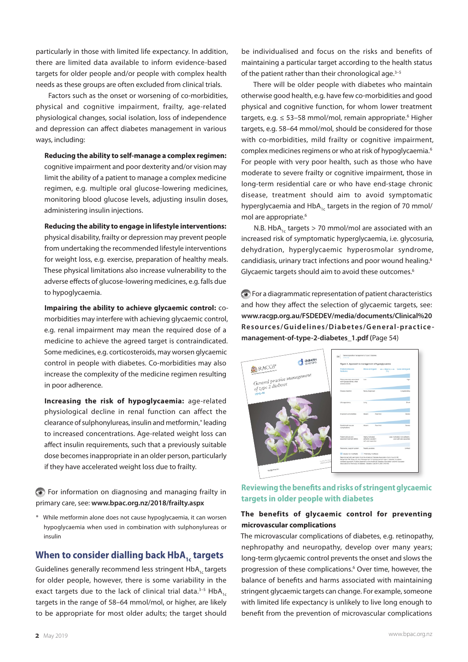particularly in those with limited life expectancy. In addition, there are limited data available to inform evidence-based targets for older people and/or people with complex health needs as these groups are often excluded from clinical trials.

Factors such as the onset or worsening of co-morbidities, physical and cognitive impairment, frailty, age-related physiological changes, social isolation, loss of independence and depression can affect diabetes management in various ways, including:

**Reducing the ability to self-manage a complex regimen:**  cognitive impairment and poor dexterity and/or vision may limit the ability of a patient to manage a complex medicine regimen, e.g. multiple oral glucose-lowering medicines, monitoring blood glucose levels, adjusting insulin doses, administering insulin injections.

**Reducing the ability to engage in lifestyle interventions:**  physical disability, frailty or depression may prevent people from undertaking the recommended lifestyle interventions for weight loss, e.g. exercise, preparation of healthy meals. These physical limitations also increase vulnerability to the adverse effects of glucose-lowering medicines, e.g. falls due to hypoglycaemia.

**Impairing the ability to achieve glycaemic control:** comorbidities may interfere with achieving glycaemic control, e.g. renal impairment may mean the required dose of a medicine to achieve the agreed target is contraindicated. Some medicines, e.g. corticosteroids, may worsen glycaemic control in people with diabetes. Co-morbidities may also increase the complexity of the medicine regimen resulting in poor adherence.

**Increasing the risk of hypoglycaemia:** age-related physiological decline in renal function can affect the clearance of sulphonylureas, insulin and metformin,\* leading to increased concentrations. Age-related weight loss can affect insulin requirements, such that a previously suitable dose becomes inappropriate in an older person, particularly if they have accelerated weight loss due to frailty.

 For information on diagnosing and managing frailty in primary care, see: **<www.bpac.org.nz/2018/frailty.aspx>**

\* While metformin alone does not cause hypoglycaemia, it can worsen hypoglycaemia when used in combination with sulphonylureas or insulin

# **When to consider dialling back HbA<sub>1</sub> targets**

Guidelines generally recommend less stringent HbA<sub>1c</sub> targets for older people, however, there is some variability in the exact targets due to the lack of clinical trial data. $3-5$  HbA<sub>12</sub> targets in the range of 58–64 mmol/mol, or higher, are likely to be appropriate for most older adults; the target should

be individualised and focus on the risks and benefits of maintaining a particular target according to the health status of the patient rather than their chronological age.<sup>3-5</sup>

There will be older people with diabetes who maintain otherwise good health, e.g. have few co-morbidities and good physical and cognitive function, for whom lower treatment targets, e.g.  $\leq 53 - 58$  mmol/mol, remain appropriate.<sup>6</sup> Higher targets, e.g. 58–64 mmol/mol, should be considered for those with co-morbidities, mild frailty or cognitive impairment, complex medicines regimens or who at risk of hypoglycaemia.6 For people with very poor health, such as those who have moderate to severe frailty or cognitive impairment, those in long-term residential care or who have end-stage chronic disease, treatment should aim to avoid symptomatic hyperglycaemia and  $HbA<sub>1c</sub>$  targets in the region of 70 mmol/ mol are appropriate.<sup>6</sup>

N.B. HbA<sub>1c</sub> targets  $> 70$  mmol/mol are associated with an increased risk of symptomatic hyperglycaemia, i.e. glycosuria, dehydration, hyperglycaemic hyperosmolar syndrome, candidiasis, urinary tract infections and poor wound healing.6 Glycaemic targets should aim to avoid these outcomes.<sup>6</sup>

 For a diagrammatic representation of patient characteristics and how they affect the selection of glycaemic targets, see: **[www.racgp.org.au/FSDEDEV/media/documents/Clinical%20](www.racgp.org.au/FSDEDEV/media/documents/Clinical%20Resources/Guidelines/Diabetes/General-practice-management-of-type-2-diabetes_1.pdf#page=90) [Resources/Guidelines/Diabetes/General-practice](www.racgp.org.au/FSDEDEV/media/documents/Clinical%20Resources/Guidelines/Diabetes/General-practice-management-of-type-2-diabetes_1.pdf#page=90)[management-of-type-2-diabetes\\_1.pdf](www.racgp.org.au/FSDEDEV/media/documents/Clinical%20Resources/Guidelines/Diabetes/General-practice-management-of-type-2-diabetes_1.pdf#page=90) (**Page 54)

| diabetes<br>australia                               | General practice management of type 2 diabetes<br>54<br>$2056 - 18$<br>Figure 3. Approach to management of hyperglycaemia |                                                                                                                                                                                                                                                                                                                                                            |                                                            |
|-----------------------------------------------------|---------------------------------------------------------------------------------------------------------------------------|------------------------------------------------------------------------------------------------------------------------------------------------------------------------------------------------------------------------------------------------------------------------------------------------------------------------------------------------------------|------------------------------------------------------------|
| RACGP                                               | Patient/disease<br>features                                                                                               |                                                                                                                                                                                                                                                                                                                                                            | More stringent < HbA1c -> Less stringent<br>7%             |
| General practice management<br>of type 2 diabetes   | Risks potentially associated<br>with hupoplycaemia, other<br>adverse events                                               | 1 cm                                                                                                                                                                                                                                                                                                                                                       | Hoh                                                        |
| $2016 - 18$                                         | Disease duration                                                                                                          | Newly disgressed                                                                                                                                                                                                                                                                                                                                           | Longstanding                                               |
|                                                     | Life expectancy                                                                                                           | Long                                                                                                                                                                                                                                                                                                                                                       | Short                                                      |
|                                                     | Important comprissibles                                                                                                   | Fewireld<br>Absort                                                                                                                                                                                                                                                                                                                                         | <b>Govern</b>                                              |
|                                                     | Established vascular<br>complications.                                                                                    | <b>Absent</b><br>Fewritist                                                                                                                                                                                                                                                                                                                                 | Sevina                                                     |
|                                                     | Patient attitude and<br>expected treatment efforts                                                                        | Highly motivated.<br>adherent, excellent<br>self-care copacities                                                                                                                                                                                                                                                                                           | Less motivated, non-adherent,<br>poor self-care capacities |
|                                                     | Resources, support system                                                                                                 | <b>Readly available</b>                                                                                                                                                                                                                                                                                                                                    | Limited                                                    |
|                                                     | Usualy not modifiable                                                                                                     | Potentialy modifiable                                                                                                                                                                                                                                                                                                                                      |                                                            |
| <b>Providing Dische</b><br><b>Healthy Australia</b> |                                                                                                                           | Reproduced with permission from the American Diabetes Association from Insucchi SE,<br>Bergerstal RM, Buse JB, et al. Management of hyperglycemia in type 2 diabetes: A patient-<br>centered approach: Position statement of the American Diabetes Association and the European<br>Association for the Study of Diabetes. Diabetes Care 2015;38(1):140-49. |                                                            |
| racigo.org.au                                       |                                                                                                                           |                                                                                                                                                                                                                                                                                                                                                            |                                                            |

## **Reviewing the benefits and risks of stringent glycaemic targets in older people with diabetes**

#### **The benefits of glycaemic control for preventing microvascular complications**

The microvascular complications of diabetes, e.g. retinopathy, nephropathy and neuropathy, develop over many years; long-term glycaemic control prevents the onset and slows the progression of these complications.<sup>6</sup> Over time, however, the balance of benefits and harms associated with maintaining stringent glycaemic targets can change. For example, someone with limited life expectancy is unlikely to live long enough to benefit from the prevention of microvascular complications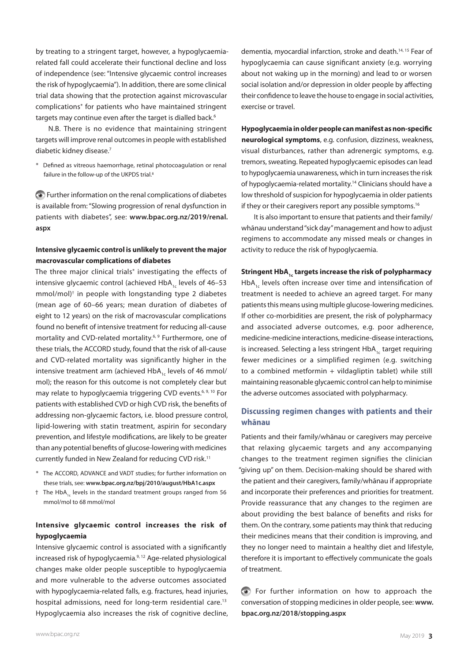by treating to a stringent target, however, a hypoglycaemiarelated fall could accelerate their functional decline and loss of independence (see: "Intensive glycaemic control increases the risk of hypoglycaemia"). In addition, there are some clinical trial data showing that the protection against microvascular complications\* for patients who have maintained stringent targets may continue even after the target is dialled back.<sup>6</sup>

N.B. There is no evidence that maintaining stringent targets will improve renal outcomes in people with established diabetic kidney disease.<sup>7</sup>

\* Defined as vitreous haemorrhage, retinal photocoagulation or renal failure in the follow-up of the UKPDS trial.<sup>8</sup>

 Further information on the renal complications of diabetes is available from: "Slowing progression of renal dysfunction in patients with diabetes", see: **[www.bpac.org.nz/](www.bpac.org.nz/2018/frailty.aspx)2019/renal. aspx**

## **Intensive glycaemic control is unlikely to prevent the major macrovascular complications of diabetes**

The three major clinical trials\* investigating the effects of intensive glycaemic control (achieved HbA $_{1c}$  levels of 46–53 mmol/mol)† in people with longstanding type 2 diabetes (mean age of 60–66 years; mean duration of diabetes of eight to 12 years) on the risk of macrovascular complications found no benefit of intensive treatment for reducing all-cause mortality and CVD-related mortality.<sup>6, 9</sup> Furthermore, one of these trials, the ACCORD study, found that the risk of all-cause and CVD-related mortality was significantly higher in the intensive treatment arm (achieved HbA $_{1c}$  levels of 46 mmol/ mol); the reason for this outcome is not completely clear but may relate to hypoglycaemia triggering CVD events.<sup>6, 9, 10</sup> For patients with established CVD or high CVD risk, the benefits of addressing non-glycaemic factors, i.e. blood pressure control, lipid-lowering with statin treatment, aspirin for secondary prevention, and lifestyle modifications, are likely to be greater than any potential benefits of glucose-lowering with medicines currently funded in New Zealand for reducing CVD risk.<sup>11</sup>

- \* The ACCORD, ADVANCE and VADT studies; for further information on these trials, see: **<www.bpac.org.nz/bpj/2010/august/HbA1c.aspx>**
- $\dagger$  The HbA<sub>1c</sub> levels in the standard treatment groups ranged from 56 mmol/mol to 68 mmol/mol

## **Intensive glycaemic control increases the risk of hypoglycaemia**

Intensive glycaemic control is associated with a significantly increased risk of hypoglycaemia.9, 12 Age-related physiological changes make older people susceptible to hypoglycaemia and more vulnerable to the adverse outcomes associated with hypoglycaemia-related falls, e.g. fractures, head injuries, hospital admissions, need for long-term residential care.<sup>13</sup> Hypoglycaemia also increases the risk of cognitive decline, dementia, myocardial infarction, stroke and death.<sup>14, 15</sup> Fear of hypoglycaemia can cause significant anxiety (e.g. worrying about not waking up in the morning) and lead to or worsen social isolation and/or depression in older people by affecting their confidence to leave the house to engage in social activities, exercise or travel.

**Hypoglycaemia in older people can manifest as non-specific neurological symptoms**, e.g. confusion, dizziness, weakness, visual disturbances, rather than adrenergic symptoms, e.g. tremors, sweating. Repeated hypoglycaemic episodes can lead to hypoglycaemia unawareness, which in turn increases the risk of hypoglycaemia-related mortality.14 Clinicians should have a low threshold of suspicion for hypoglycaemia in older patients if they or their caregivers report any possible symptoms.<sup>16</sup>

It is also important to ensure that patients and their family/ whānau understand "sick day" management and how to adjust regimens to accommodate any missed meals or changes in activity to reduce the risk of hypoglycaemia.

#### Stringent HbA<sub>1c</sub> targets increase the risk of polypharmacy

 $HbA<sub>1c</sub>$  levels often increase over time and intensification of treatment is needed to achieve an agreed target. For many patients this means using multiple glucose-lowering medicines. If other co-morbidities are present, the risk of polypharmacy and associated adverse outcomes, e.g. poor adherence, medicine-medicine interactions, medicine-disease interactions, is increased. Selecting a less stringent HbA<sub>1c</sub> target requiring fewer medicines or a simplified regimen (e.g. switching to a combined metformin + vildagliptin tablet) while still maintaining reasonable glycaemic control can help to minimise the adverse outcomes associated with polypharmacy.

## **Discussing regimen changes with patients and their whānau**

Patients and their family/whānau or caregivers may perceive that relaxing glycaemic targets and any accompanying changes to the treatment regimen signifies the clinician "giving up" on them. Decision-making should be shared with the patient and their caregivers, family/whānau if appropriate and incorporate their preferences and priorities for treatment. Provide reassurance that any changes to the regimen are about providing the best balance of benefits and risks for them. On the contrary, some patients may think that reducing their medicines means that their condition is improving, and they no longer need to maintain a healthy diet and lifestyle, therefore it is important to effectively communicate the goals of treatment.

 For further information on how to approach the conversation of stopping medicines in older people, see: **[www.](www.bpac.org.nz/2018/stopping.aspx) [bpac.org.nz/2018/stopping.aspx](www.bpac.org.nz/2018/stopping.aspx)**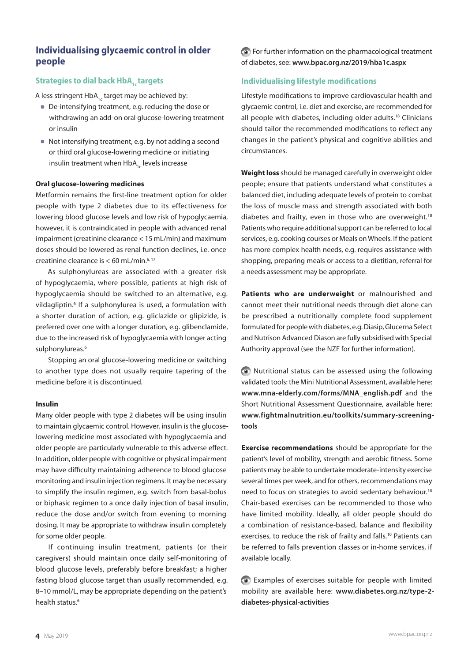# **Individualising glycaemic control in older people**

# **Strategies to dial back HbA<sub>1c</sub> targets**

A less stringent  $HbA_{1c}$  target may be achieved by:

- De-intensifying treatment, e.g. reducing the dose or withdrawing an add-on oral glucose-lowering treatment or insulin
- Not intensifying treatment, e.g. by not adding a second or third oral glucose-lowering medicine or initiating insulin treatment when  $HbA_{1c}$  levels increase

#### **Oral glucose-lowering medicines**

Metformin remains the first-line treatment option for older people with type 2 diabetes due to its effectiveness for lowering blood glucose levels and low risk of hypoglycaemia, however, it is contraindicated in people with advanced renal impairment (creatinine clearance < 15 mL/min) and maximum doses should be lowered as renal function declines, i.e. once creatinine clearance is  $<$  60 mL/min.<sup>6, 17</sup>

As sulphonylureas are associated with a greater risk of hypoglycaemia, where possible, patients at high risk of hypoglycaemia should be switched to an alternative, e.g. vildagliptin.<sup>6</sup> If a sulphonylurea is used, a formulation with a shorter duration of action, e.g. gliclazide or glipizide, is preferred over one with a longer duration, e.g. glibenclamide, due to the increased risk of hypoglycaemia with longer acting sulphonylureas.<sup>6</sup>

Stopping an oral glucose-lowering medicine or switching to another type does not usually require tapering of the medicine before it is discontinued.

#### **Insulin**

Many older people with type 2 diabetes will be using insulin to maintain glycaemic control. However, insulin is the glucoselowering medicine most associated with hypoglycaemia and older people are particularly vulnerable to this adverse effect. In addition, older people with cognitive or physical impairment may have difficulty maintaining adherence to blood glucose monitoring and insulin injection regimens. It may be necessary to simplify the insulin regimen, e.g. switch from basal-bolus or biphasic regimen to a once daily injection of basal insulin, reduce the dose and/or switch from evening to morning dosing. It may be appropriate to withdraw insulin completely for some older people.

If continuing insulin treatment, patients (or their caregivers) should maintain once daily self-monitoring of blood glucose levels, preferably before breakfast; a higher fasting blood glucose target than usually recommended, e.g. 8–10 mmol/L, may be appropriate depending on the patient's health status.<sup>6</sup>

 For further information on the pharmacological treatment of diabetes, see: **<www.bpac.org.nz/2019/hba1c.aspx>**

#### **Individualising lifestyle modifications**

Lifestyle modifications to improve cardiovascular health and glycaemic control, i.e. diet and exercise, are recommended for all people with diabetes, including older adults.<sup>18</sup> Clinicians should tailor the recommended modifications to reflect any changes in the patient's physical and cognitive abilities and circumstances.

**Weight loss** should be managed carefully in overweight older people; ensure that patients understand what constitutes a balanced diet, including adequate levels of protein to combat the loss of muscle mass and strength associated with both diabetes and frailty, even in those who are overweight.<sup>18</sup> Patients who require additional support can be referred to local services, e.g. cooking courses or Meals on Wheels. If the patient has more complex health needs, e.g. requires assistance with shopping, preparing meals or access to a dietitian, referral for a needs assessment may be appropriate.

**Patients who are underweight** or malnourished and cannot meet their nutritional needs through diet alone can be prescribed a nutritionally complete food supplement formulated for people with diabetes, e.g. Diasip, Glucerna Select and Nutrison Advanced Diason are fully subsidised with Special Authority approval (see the NZF for further information).

 Nutritional status can be assessed using the following validated tools: the Mini Nutritional Assessment, available here: **[www.mna-elderly.com/forms/MNA\\_english.pdf](www.mna-elderly.com/forms/MNA_english.pdf)** and the Short Nutritional Assessment Questionnaire, available here: **[www.fightmalnutrition.eu/toolkits/summary-screening](www.fightmalnutrition.eu/toolkits/summary-screening-tools)[tools](www.fightmalnutrition.eu/toolkits/summary-screening-tools)**

**Exercise recommendations** should be appropriate for the patient's level of mobility, strength and aerobic fitness. Some patients may be able to undertake moderate-intensity exercise several times per week, and for others, recommendations may need to focus on strategies to avoid sedentary behaviour.<sup>18</sup> Chair-based exercises can be recommended to those who have limited mobility. Ideally, all older people should do a combination of resistance-based, balance and flexibility exercises, to reduce the risk of frailty and falls.<sup>10</sup> Patients can be referred to falls prevention classes or in-home services, if available locally.

 Examples of exercises suitable for people with limited mobility are available here: **[www.diabetes.org.nz/type-2](www.diabetes.org.nz/type-2-diabetes-physical-activities) [diabetes-physical-activities](www.diabetes.org.nz/type-2-diabetes-physical-activities)**